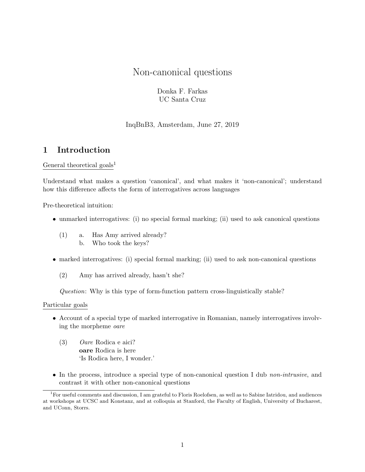# Non-canonical questions

Donka F. Farkas UC Santa Cruz

InqBnB3, Amsterdam, June 27, 2019

## 1 Introduction

General theoretical goals<sup>[1](#page-0-0)</sup>

Understand what makes a question 'canonical', and what makes it 'non-canonical'; understand how this difference affects the form of interrogatives across languages

Pre-theoretical intuition:

- unmarked interrogatives: (i) no special formal marking; (ii) used to ask canonical questions
	- (1) a. Has Amy arrived already? b. Who took the keys?
- marked interrogatives: (i) special formal marking; (ii) used to ask non-canonical questions
	- (2) Amy has arrived already, hasn't she?

Question: Why is this type of form-function pattern cross-linguistically stable?

### Particular goals

- Account of a special type of marked interrogative in Romanian, namely interrogatives involving the morpheme oare
	- (3) Oare Rodica e aici? oare Rodica is here 'Is Rodica here, I wonder.'
- In the process, introduce a special type of non-canonical question I dub *non-intrusive*, and contrast it with other non-canonical questions

<span id="page-0-0"></span><sup>&</sup>lt;sup>1</sup>For useful comments and discussion, I am grateful to Floris Roelofsen, as well as to Sabine Iatridou, and audiences at workshops at UCSC and Konstanz, and at colloquia at Stanford, the Faculty of English, University of Bucharest, and UConn, Storrs.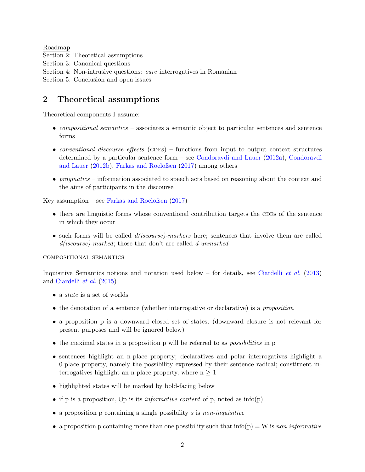Roadmap Section 2: Theoretical assumptions Section 3: Canonical questions Section 4: Non-intrusive questions: oare interrogatives in Romanian Section 5: Conclusion and open issues

## 2 Theoretical assumptions

Theoretical components I assume:

- compositional semantics associates a semantic object to particular sentences and sentence forms
- conventional discourse effects (CDEs) functions from input to output context structures determined by a particular sentence form – see [Condoravdi and Lauer](#page-13-0) [\(2012a\)](#page-13-0), [Condoravdi](#page-13-1) [and Lauer](#page-13-1) [\(2012b\)](#page-13-1), [Farkas and Roelofsen](#page-13-2) [\(2017\)](#page-13-2) among others
- *pragmatics* information associated to speech acts based on reasoning about the context and the aims of participants in the discourse

Key assumption – see [Farkas and Roelofsen](#page-13-2) [\(2017\)](#page-13-2)

- $\bullet$  there are linguistic forms whose conventional contribution targets the CDEs of the sentence in which they occur
- such forms will be called  $d(iscourse)$ -markers here; sentences that involve them are called d(*iscourse*)-marked; those that don't are called d-unmarked

compositional semantics

Inquisitive Semantics notions and notation used below – for details, see [Ciardelli](#page-13-3) *et al.* [\(2013\)](#page-13-3) and [Ciardelli](#page-13-4) et al. [\(2015\)](#page-13-4)

- a *state* is a set of worlds
- the denotation of a sentence (whether interrogative or declarative) is a *proposition*
- a proposition p is a downward closed set of states; (downward closure is not relevant for present purposes and will be ignored below)
- the maximal states in a proposition p will be referred to as *possibilities* in p
- sentences highlight an n-place property; declaratives and polar interrogatives highlight a 0-place property, namely the possibility expressed by their sentence radical; constituent interrogatives highlight an n-place property, where  $n \geq 1$
- highlighted states will be marked by bold-facing below
- if p is a proposition,  $\cup p$  is its *informative content* of p, noted as info(p)
- $\bullet$  a proposition p containing a single possibility s is non-inquisitive
- a proposition p containing more than one possibility such that  $info(p) = W$  is non-informative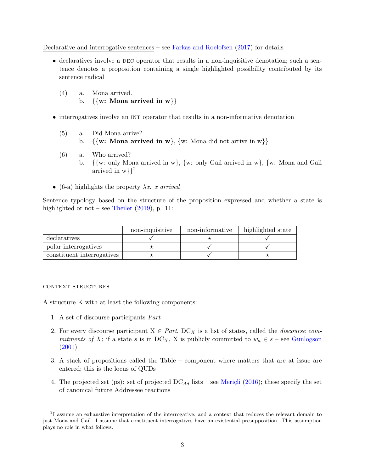Declarative and interrogative sentences – see [Farkas and Roelofsen](#page-13-2) [\(2017\)](#page-13-2) for details

- $\bullet$  declaratives involve a DEC operator that results in a non-inquisitive denotation; such a sentence denotes a proposition containing a single highlighted possibility contributed by its sentence radical
	- (4) a. Mona arrived. b.  $\{\{\mathbf w: \text{ Mona arrived in } \mathbf w\}\}\$
- interrogatives involve an INT operator that results in a non-informative denotation
	- (5) a. Did Mona arrive?
		- b.  $\{\{\mathbf{w}: \mathbf{Mona} \text{ arrived in } \mathbf{w}\}, \{\mathbf{w}: \mathbf{Mona} \text{ did not arrive in } \mathbf{w}\}\}\$
	- (6) a. Who arrived?
		- b. {{w: only Mona arrived in w}, {w: only Gail arrived in w}, {w: Mona and Gail arrived in  $w\}$ ?
- <span id="page-2-1"></span>• [\(6-a\)](#page-2-1) highlights the property  $\lambda x$ . x arrived

Sentence typology based on the structure of the proposition expressed and whether a state is highlighted or not – see [Theiler](#page-13-5)  $(2019)$ , p. 11:

|                            | non-inquisitive | non-informative | highlighted state |
|----------------------------|-----------------|-----------------|-------------------|
| declaratives               |                 |                 |                   |
| polar interrogatives       |                 |                 |                   |
| constituent interrogatives |                 |                 |                   |

#### context structures

A structure K with at least the following components:

- 1. A set of discourse participants Part
- 2. For every discourse participant  $X \in Part$ ,  $DC_X$  is a list of states, called the *discourse com*mitments of X; if a state s is in  $DC_X$ , X is publicly committed to  $w_a \in s$  – see [Gunlogson](#page-13-6) [\(2001\)](#page-13-6)
- 3. A stack of propositions called the Table component where matters that are at issue are entered; this is the locus of QUDs
- 4. The projected set (ps): set of projected  $DC_{Ad}$  lists see Meriçli [\(2016\)](#page-13-7); these specify the set of canonical future Addressee reactions

<span id="page-2-0"></span><sup>&</sup>lt;sup>2</sup>I assume an exhaustive interpretation of the interrogative, and a context that reduces the relevant domain to just Mona and Gail. I assume that constituent interrogatives have an existential presupposition. This assumption plays no role in what follows.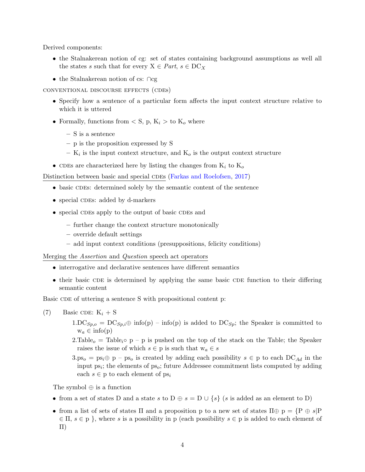Derived components:

- the Stalnakerean notion of cg: set of states containing background assumptions as well all the states s such that for every  $X \in Part, s \in DC<sub>X</sub>$
- the Stalnakerean notion of cs: ∩cg

conventional discourse effects (cdes)

- Specify how a sentence of a particular form affects the input context structure relative to which it is uttered
- Formally, functions from  $\langle S, p, K_i \rangle$  to  $K_o$  where
	- S is a sentence
	- p is the proposition expressed by S
	- $-$  K<sub>i</sub> is the input context structure, and K<sub>o</sub> is the output context structure
- CDEs are characterized here by listing the changes from  $K_i$  to  $K_o$

Distinction between basic and special CDEs [\(Farkas and Roelofsen,](#page-13-2) [2017\)](#page-13-2)

- basic CDEs: determined solely by the semantic content of the sentence
- special CDEs: added by d-markers
- special CDEs apply to the output of basic CDEs and
	- further change the context structure monotonically
	- override default settings
	- add input context conditions (presuppositions, felicity conditions)

#### Merging the Assertion and Question speech act operators

- interrogative and declarative sentences have different semantics
- their basic CDE is determined by applying the same basic CDE function to their differing semantic content

Basic CDE of uttering a sentence S with propositional content p:

(7) Basic CDE:  $K_i + S$ 

- $1.DC_{Sp,o} = DC_{Sp,i} \oplus \text{info}(p) \text{info}(p)$  is added to  $DC_{Sp,i}$ ; the Speaker is committed to  $w_a \in \text{info}(p)$
- 2.Table<sub>o</sub> = Table<sub>i</sub>• p p is pushed on the top of the stack on the Table; the Speaker raises the issue of which  $s \in p$  is such that  $w_a \in s$
- $3.\text{ps}_o = \text{ps}_i \oplus \text{p} \text{ps}_o$  is created by adding each possibility  $s \in \text{p}$  to each  $\text{DC}_{Ad}$  in the input  $ps_i$ ; the elements of  $ps_o$ ; future Addressee commitment lists computed by adding each  $s \in \mathfrak{p}$  to each element of  $ps_i$

The symbol ⊕ is a function

- from a set of states D and a state s to  $D \oplus s = D \cup \{s\}$  (s is added as an element to D)
- from a list of sets of states Π and a proposition p to a new set of states  $\Pi \oplus p = \{P \oplus s | P$  $\in \Pi, s \in \mathfrak{p}$ , where s is a possibility in p (each possibility  $s \in \mathfrak{p}$  is added to each element of Π)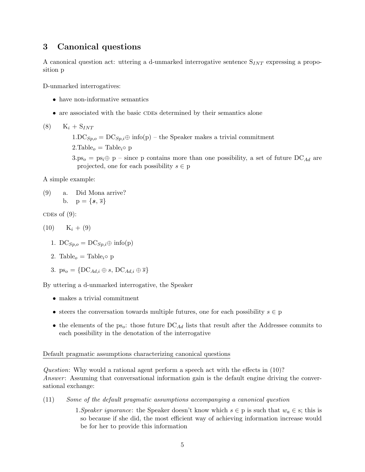## 3 Canonical questions

A canonical question act: uttering a d-unmarked interrogative sentence  $S_{INT}$  expressing a proposition p

D-unmarked interrogatives:

- have non-informative semantics
- are associated with the basic CDEs determined by their semantics alone

 $(8)$  K<sub>i</sub> + S<sub>INT</sub>  $1.DC_{Sp,o} = DC_{Sp,i} \oplus \text{info}(p) -$  the Speaker makes a trivial commitment  $2.\text{Table}_o = \text{Table}_i \circ p$  $3.p_{5o} = ps_i \oplus p -$  since p contains more than one possibility, a set of future DC<sub>Ad</sub> are projected, one for each possibility  $s \in p$ 

<span id="page-4-0"></span>A simple example:

(9) a. Did Mona arrive? b.  $p = \{s, \overline{s}\}\)$ 

CDES of  $(9)$ :

$$
(10) \qquad \mathbf{K}_i + (9)
$$

- 1. DC $S_{p,q} = \text{DC}_{S_p,i} \oplus \text{info}(p)$
- 2. Table<sub>o</sub> = Table<sub>i</sub> $\circ$  p
- 3.  $ps_o = \{DC_{Ad,i} \oplus s, DC_{Ad,i} \oplus \overline{s}\}$

By uttering a d-unmarked interrogative, the Speaker

- makes a trivial commitment
- steers the conversation towards multiple futures, one for each possibility  $s \in \mathfrak{p}$
- the elements of the ps<sub>o</sub>: those future  $DC_{Ad}$  lists that result after the Addressee commits to each possibility in the denotation of the interrogative

### Default pragmatic assumptions characterizing canonical questions

Question: Why would a rational agent perform a speech act with the effects in (10)? Answer: Assuming that conversational information gain is the default engine driving the conversational exchange:

- (11) Some of the default pragmatic assumptions accompanying a canonical question
	- 1. Speaker ignorance: the Speaker doesn't know which  $s \in p$  is such that  $w_a \in s$ ; this is so because if she did, the most efficient way of achieving information increase would be for her to provide this information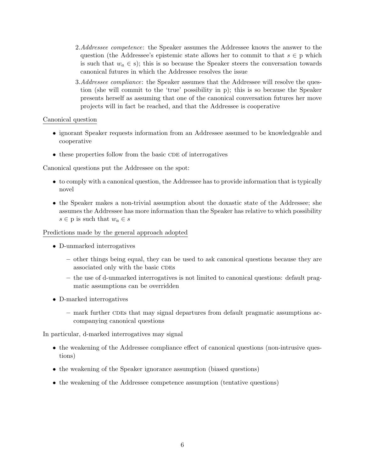- 2.Addressee competence: the Speaker assumes the Addressee knows the answer to the question (the Addressee's epistemic state allows her to commit to that  $s \in p$  which is such that  $w_a \in s$ ; this is so because the Speaker steers the conversation towards canonical futures in which the Addressee resolves the issue
- 3.Addressee compliance: the Speaker assumes that the Addressee will resolve the question (she will commit to the 'true' possibility in p); this is so because the Speaker presents herself as assuming that one of the canonical conversation futures her move projects will in fact be reached, and that the Addressee is cooperative

### Canonical question

- ignorant Speaker requests information from an Addressee assumed to be knowledgeable and cooperative
- $\bullet$  these properties follow from the basic CDE of interrogatives

Canonical questions put the Addressee on the spot:

- to comply with a canonical question, the Addressee has to provide information that is typically novel
- the Speaker makes a non-trivial assumption about the doxastic state of the Addressee; she assumes the Addressee has more information than the Speaker has relative to which possibility  $s \in \mathfrak{p}$  is such that  $w_a \in s$

Predictions made by the general approach adopted

- D-unmarked interrogatives
	- other things being equal, they can be used to ask canonical questions because they are associated only with the basic CDES
	- the use of d-unmarked interrogatives is not limited to canonical questions: default pragmatic assumptions can be overridden
- D-marked interrogatives
	- $-$  mark further CDEs that may signal departures from default pragmatic assumptions accompanying canonical questions

In particular, d-marked interrogatives may signal

- the weakening of the Addressee compliance effect of canonical questions (non-intrusive questions)
- the weakening of the Speaker ignorance assumption (biased questions)
- the weakening of the Addressee competence assumption (tentative questions)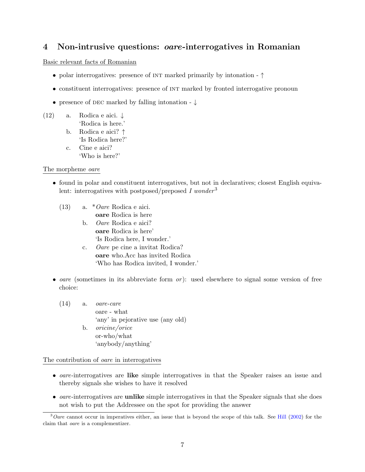## 4 Non-intrusive questions: oare-interrogatives in Romanian

## Basic relevant facts of Romanian

- polar interrogatives: presence of INT marked primarily by intonation ↑
- constituent interrogatives: presence of INT marked by fronted interrogative pronoun
- presence of DEC marked by falling intonation  $\downarrow$

(12) a. Rodica e aici.  $\downarrow$ 

- 'Rodica is here.' b. Rodica e aici? ↑
- 'Is Rodica here?'
- c. Cine e aici? 'Who is here?'

## The morpheme oare

- found in polar and constituent interrogatives, but not in declaratives; closest English equiva-lent: interrogatives with postposed/preposed I wonder<sup>[3](#page-6-0)</sup>
	- (13) a. \*Oare Rodica e aici. oare Rodica is here
		- b. Oare Rodica e aici? oare Rodica is here' 'Is Rodica here, I wonder.' c. Oare pe cine a invitat Rodica?
		- oare who.Acc has invited Rodica 'Who has Rodica invited, I wonder.'
- oare (sometimes in its abbreviate form  $or$ ): used elsewhere to signal some version of free choice:
	- $(14)$  a. *oare-care* oare - what 'any' in pejorative use (any old) b. oricine/orice or-who/what 'anybody/anything'

The contribution of oare in interrogatives

- oare-interrogatives are like simple interrogatives in that the Speaker raises an issue and thereby signals she wishes to have it resolved
- *oare*-interrogatives are **unlike** simple interrogatives in that the Speaker signals that she does not wish to put the Addressee on the spot for providing the answer

<span id="page-6-0"></span> $3$ Oare cannot occur in imperatives either, an issue that is beyond the scope of this talk. See [Hill](#page-13-8) [\(2002\)](#page-13-8) for the claim that oare is a complementizer.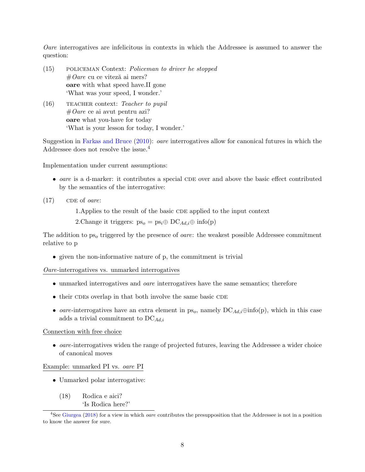Oare interrogatives are infelicitous in contexts in which the Addressee is assumed to answer the question:

- <span id="page-7-2"></span>(15) policeman Context: Policeman to driver he stopped  $#Oare$  cu ce viteză ai mers? oare with what speed have.II gone 'What was your speed, I wonder.'
- <span id="page-7-3"></span> $(16)$  TEACHER context: Teacher to pupil  $#Oare$  ce ai avut pentru azi? oare what you-have for today 'What is your lesson for today, I wonder.'

Suggestion in [Farkas and Bruce](#page-13-9) [\(2010\)](#page-13-9): oare interrogatives allow for canonical futures in which the Addressee does not resolve the issue.[4](#page-7-0)

Implementation under current assumptions:

- $\bullet$  oare is a d-marker: it contributes a special CDE over and above the basic effect contributed by the semantics of the interrogative:
- $(17)$  CDE of *oare*:
	- 1. Applies to the result of the basic CDE applied to the input context
	- 2. Change it triggers:  $ps_o = ps_i \oplus DC_{Ad,i} \oplus info(p)$

The addition to  $ps<sub>o</sub>$  triggered by the presence of *oare*: the weakest possible Addressee commitment relative to p

• given the non-informative nature of p, the commitment is trivial

Oare-interrogatives vs. unmarked interrogatives

- unmarked interrogatives and oare interrogatives have the same semantics; therefore
- $\bullet$  their CDEs overlap in that both involve the same basic CDE
- oare-interrogatives have an extra element in  $ps_o$ , namely  $DC_{Ad,i} \oplus \text{info}(p)$ , which in this case adds a trivial commitment to  $DC_{Ad,i}$

#### Connection with free choice

 $\bullet$  *oare*-interrogatives widen the range of projected futures, leaving the Addressee a wider choice of canonical moves

#### Example: unmarked PI vs. oare PI

<span id="page-7-1"></span>• Unmarked polar interrogative:

(18) Rodica e aici? 'Is Rodica here?'

<span id="page-7-0"></span><sup>&</sup>lt;sup>4</sup>See [Giurgea](#page-13-10) [\(2018\)](#page-13-10) for a view in which *oare* contributes the presupposition that the Addressee is not in a position to know the answer for sure.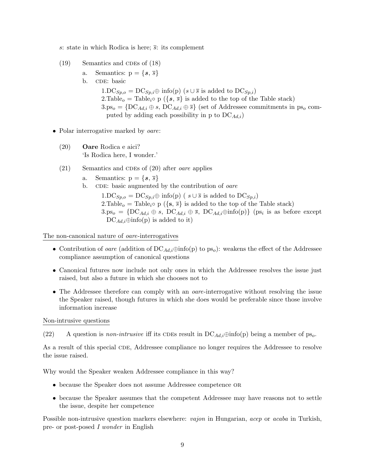s: state in which Rodica is here;  $\overline{s}$ : its complement

- $(19)$  Semantics and CDEs of  $(18)$ 
	- a. Semantics:  $p = \{s, \overline{s}\}\$
	- b. CDE: basic

 $1.DC_{Sp,o} = DC_{Sp,i} \oplus \text{info}(p)$  ( $s \cup \overline{s}$  is added to  $DC_{Sp,i}$ ) 2.Table<sub>o</sub> = Table<sub>i</sub>• p ({ $s, \overline{s}$ } is added to the top of the Table stack)  $3.p_{5o} = \{DC_{Ad,i} \oplus s, DC_{Ad,i} \oplus \overline{s}\}$  (set of Addressee commitments in ps<sub>o</sub> computed by adding each possibility in p to  $DC_{Ad,i}$ )

- <span id="page-8-0"></span>• Polar interrogative marked by *oare*:
	- (20) Oare Rodica e aici? 'Is Rodica here, I wonder.'
	- $(21)$  Semantics and CDEs of  $(20)$  after *oare* applies
		- a. Semantics:  $p = \{s, \overline{s}\}\$
		- b. CDE: basic augmented by the contribution of *oare*

 $1.DC_{Sp,o} = DC_{Sp,i} \oplus \text{info}(p)$  (  $s \cup \overline{s}$  is added to  $DC_{Sp,i}$ ) 2.Table<sub>o</sub> = Table<sub>i</sub>• p ( $\{s, \bar{s}\}$ ) is added to the top of the Table stack)  $3.p_{5o} = \{DC_{Ad,i} \oplus s, DC_{Ad,i} \oplus \overline{s}, DC_{Ad,i} \oplus \text{info}(p)\}\$  (ps<sub>i</sub> is as before except  $DC_{Ad,i} \oplus \text{info}(p)$  is added to it)

The non-canonical nature of oare-interrogatives

- Contribution of *oare* (addition of  $DC_{Ad,i} \oplus \text{info}(p)$  to  $ps_o$ ): weakens the effect of the Addressee compliance assumption of canonical questions
- Canonical futures now include not only ones in which the Addressee resolves the issue just raised, but also a future in which she chooses not to
- The Addressee therefore can comply with an *oare*-interrogative without resolving the issue the Speaker raised, though futures in which she does would be preferable since those involve information increase

Non-intrusive questions

(22) A question is *non-intrusive* iff its CDEs result in  $DC_{Ad,i} \oplus \text{info}(p)$  being a member of ps<sub>o</sub>.

As a result of this special CDE, Addressee compliance no longer requires the Addressee to resolve the issue raised.

Why would the Speaker weaken Addressee compliance in this way?

- because the Speaker does not assume Addressee competence OR
- because the Speaker assumes that the competent Addressee may have reasons not to settle the issue, despite her competence

Possible non-intrusive question markers elsewhere: vajon in Hungarian, acep or acaba in Turkish, pre- or post-posed I wonder in English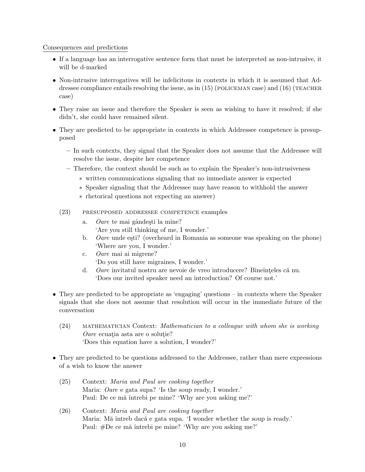### Consequences and predictions

- If a language has an interrogative sentence form that must be interpreted as non-intrusive, it will be d-marked
- Non-intrusive interrogatives will be infelicitous in contexts in which it is assumed that Addressee compliance entails resolving the issue, as in  $(15)$  (POLICEMAN case) and  $(16)$  (TEACHER case)
- They raise an issue and therefore the Speaker is seen as wishing to have it resolved; if she didn't, she could have remained silent.
- They are predicted to be appropriate in contexts in which Addressee competence is presupposed
	- In such contexts, they signal that the Speaker does not assume that the Addressee will resolve the issue, despite her competence
	- Therefore, the context should be such as to explain the Speaker's non-intrusiveness
		- ∗ written communications signaling that no immediate answer is expected
		- ∗ Speaker signaling that the Addressee may have reason to withhold the answer
		- ∗ rhetorical questions not expecting an answer)
	- (23) presupposed addressee competence examples
		- a. Oare te mai gândești la mine? 'Are you still thinking of me, I wonder.'
		- b. Oare unde esti? (overheard in Romania as someone was speaking on the phone) 'Where are you, I wonder.'
		- c. Oare mai ai migrene? 'Do you still have migraines, I wonder.'
		- d. Oare invitatul nostru are nevoie de vreo introducere? Bineînteles că nu. 'Does our invited speaker need an introduction? Of course not.'
- They are predicted to be appropriate as 'engaging' questions in contexts where the Speaker signals that she does not assume that resolution will occur in the immediate future of the conversation
	- (24) mathematician Context: Mathematician to a colleague with whom she is working  $Oare$  ecuatia asta are o solutie? 'Does this equation have a solution, I wonder?'
- They are predicted to be questions addressed to the Addressee, rather than mere expressions of a wish to know the answer
	- (25) Context: Maria and Paul are cooking together Maria: Oare e gata supa? 'Is the soup ready, I wonder.' Paul: De ce mă întrebi pe mine? 'Why are you asking me?'
	- (26) Context: Maria and Paul are cooking together Maria: Mă întreb dacă e gata supa. 'I wonder whether the soup is ready.' Paul: #De ce mă întrebi pe mine? 'Why are you asking me?'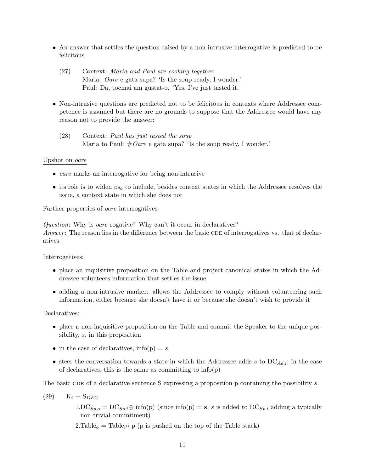- An answer that settles the question raised by a non-intrusive interrogative is predicted to be felicitous
	- (27) Context: Maria and Paul are cooking together Maria: Oare e gata supa? 'Is the soup ready, I wonder.' Paul: Da, tocmai am gustat-o. 'Yes, I've just tasted it.
- Non-intrusive questions are predicted not to be felicitous in contexts where Addressee competence is assumed but there are no grounds to suppose that the Addressee would have any reason not to provide the answer:
	- (28) Context: Paul has just tasted the soup Maria to Paul:  $\#O$ are e gata supa? 'Is the soup ready, I wonder.'

### Upshot on oare

- oare marks an interrogative for being non-intrusive
- its role is to widen  $ps<sub>o</sub>$  to include, besides context states in which the Addressee resolves the issue, a context state in which she does not

### Further properties of oare-interrogatives

Question: Why is oare rogative? Why can't it occur in declaratives? Answer: The reason lies in the difference between the basic CDE of interrogatives vs. that of declaratives:

Interrogatives:

- place an inquisitive proposition on the Table and project canonical states in which the Addressee volunteers information that settles the issue
- adding a non-intrusive marker: allows the Addressee to comply without volunteering such information, either because she doesn't have it or because she doesn't wish to provide it

Declaratives:

- place a non-inquisitive proposition on the Table and commit the Speaker to the unique possibility, s, in this proposition
- in the case of declaratives,  $info(p) = s$
- steer the conversation towards a state in which the Addressee adds s to  $DC_{Ad,i}$ ; in the case of declaratives, this is the same as committing to  $info(p)$

The basic CDE of a declarative sentence S expressing a proposition p containing the possibility  $s$ 

 $(29)$  K<sub>i</sub> + S<sub>DEC</sub>

 $1.DC_{Sp,o} = DC_{Sp,i} \oplus \text{info}(p)$  (since  $\text{info}(p) = s$ , s is added to  $DC_{Sp,i}$  adding a typically non-trivial commitment)

2.Table<sub>o</sub> = Table<sub>i</sub>• p (p is pushed on the top of the Table stack)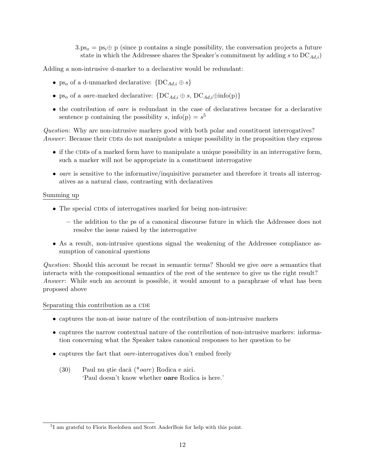$3.p_{50} = ps_i \oplus p$  (since p contains a single possibility, the conversation projects a future state in which the Addressee shares the Speaker's commitment by adding s to  $DC_{Ad,i}$ )

Adding a non-intrusive d-marker to a declarative would be redundant:

- ps<sub>o</sub> of a d-unmarked declarative:  $\{DC_{Ad,i} \oplus s\}$
- ps<sub>o</sub> of a *oare*-marked declarative:  $\{DC_{Ad,i} \oplus s, DC_{Ad,i} \oplus \text{info}(p)\}\$
- the contribution of oare is redundant in the case of declaratives because for a declarative sentence p containing the possibility s, info(p) =  $s^5$  $s^5$

Question: Why are non-intrusive markers good with both polar and constituent interrogatives? Answer: Because their CDEs do not manipulate a unique possibility in the proposition they express

- $\bullet$  if the CDEs of a marked form have to manipulate a unique possibility in an interrogative form, such a marker will not be appropriate in a constituent interrogative
- *oare* is sensitive to the informative/inquisitive parameter and therefore it treats all interrogatives as a natural class, contrasting with declaratives

#### Summing up

- The special CDEs of interrogatives marked for being non-intrusive:
	- the addition to the ps of a canonical discourse future in which the Addressee does not resolve the issue raised by the interrogative
- As a result, non-intrusive questions signal the weakening of the Addressee compliance assumption of canonical questions

Question: Should this account be recast in semantic terms? Should we give oare a semantics that interacts with the compositional semantics of the rest of the sentence to give us the right result? Answer: While such an account is possible, it would amount to a paraphrase of what has been proposed above

#### Separating this contribution as a CDE

- captures the non-at issue nature of the contribution of non-intrusive markers
- captures the narrow contextual nature of the contribution of non-intrusive markers: information concerning what the Speaker takes canonical responses to her question to be
- captures the fact that *oare*-interrogatives don't embed freely
	- (30) Paul nu știe dacă (\**oare*) Rodica e aici. 'Paul doesn't know whether oare Rodica is here.'

<span id="page-11-0"></span><sup>&</sup>lt;sup>5</sup>I am grateful to Floris Roelofsen and Scott AnderBois for help with this point.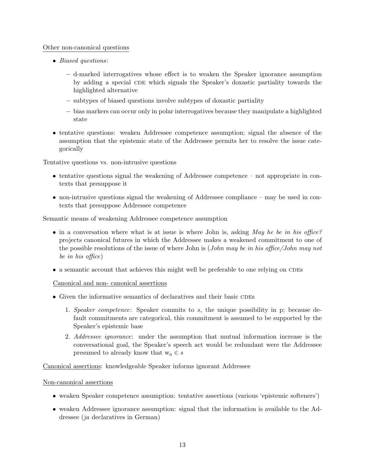## Other non-canonical questions

- Biased questions:
	- d-marked interrogatives whose effect is to weaken the Speaker ignorance assumption by adding a special CDE which signals the Speaker's doxastic partiality towards the highlighted alternative
	- subtypes of biased questions involve subtypes of doxastic partiality
	- bias markers can occur only in polar interrogatives because they manipulate a highlighted state
- tentative questions: weaken Addressee competence assumption; signal the absence of the assumption that the epistemic state of the Addressee permits her to resolve the issue categorically

Tentative questions vs. non-intrusive questions

- tentative questions signal the weakening of Addressee competence not appropriate in contexts that presuppose it
- non-intrusive questions signal the weakening of Addressee compliance may be used in contexts that presuppose Addressee competence

Semantic means of weakening Addressee competence assumption

- in a conversation where what is at issue is where John is, asking May he be in his office? projects canonical futures in which the Addressee makes a weakened commitment to one of the possible resolutions of the issue of where John is (John may be in his office/John may not be in his office)
- $\bullet$  a semantic account that achieves this might well be preferable to one relying on CDEs

Canonical and non- canonical assertions

- $\bullet$  Given the informative semantics of declaratives and their basic CDEs
	- 1. Speaker competence: Speaker commits to s, the unique possibility in p; because default commitments are categorical, this commitment is assumed to be supported by the Speaker's epistemic base
	- 2. Addressee ignorance: under the assumption that mutual information increase is the conversational goal, the Speaker's speech act would be redundant were the Addressee presumed to already know that  $w_a \in s$

Canonical assertions: knowledgeable Speaker informs ignorant Addressee

Non-canonical assertions

- weaken Speaker competence assumption: tentative assertions (various 'epistemic softeners')
- weaken Addressee ignorance assumption: signal that the information is available to the Addressee (ja declaratives in German)